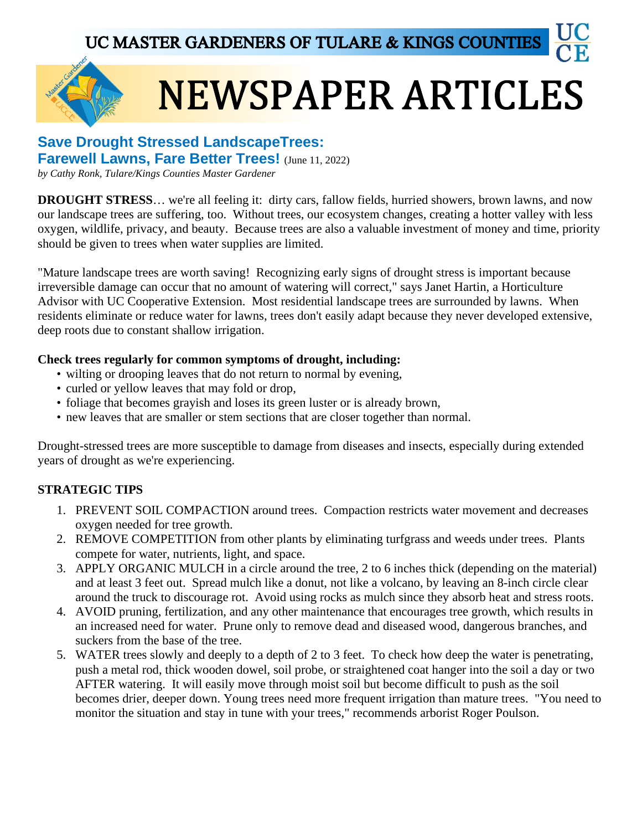

# **NEWSPAPER ARTICLES**

## **Save Drought Stressed LandscapeTrees: Farewell Lawns, Fare Better Trees!** (June 11, 2022)

*by Cathy Ronk, Tulare/Kings Counties Master Gardener*

**DROUGHT STRESS**... we're all feeling it: dirty cars, fallow fields, hurried showers, brown lawns, and now our landscape trees are suffering, too. Without trees, our ecosystem changes, creating a hotter valley with less oxygen, wildlife, privacy, and beauty. Because trees are also a valuable investment of money and time, priority should be given to trees when water supplies are limited.

"Mature landscape trees are worth saving! Recognizing early signs of drought stress is important because irreversible damage can occur that no amount of watering will correct," says Janet Hartin, a Horticulture Advisor with UC Cooperative Extension. Most residential landscape trees are surrounded by lawns. When residents eliminate or reduce water for lawns, trees don't easily adapt because they never developed extensive, deep roots due to constant shallow irrigation.

## **Check trees regularly for common symptoms of drought, including:**

- wilting or drooping leaves that do not return to normal by evening,
- curled or yellow leaves that may fold or drop,
- foliage that becomes grayish and loses its green luster or is already brown,
- new leaves that are smaller or stem sections that are closer together than normal.

Drought-stressed trees are more susceptible to damage from diseases and insects, especially during extended years of drought as we're experiencing.

# **STRATEGIC TIPS**

- 1. PREVENT SOIL COMPACTION around trees. Compaction restricts water movement and decreases oxygen needed for tree growth.
- 2. REMOVE COMPETITION from other plants by eliminating turfgrass and weeds under trees. Plants compete for water, nutrients, light, and space.
- 3. APPLY ORGANIC MULCH in a circle around the tree, 2 to 6 inches thick (depending on the material) and at least 3 feet out. Spread mulch like a donut, not like a volcano, by leaving an 8-inch circle clear around the truck to discourage rot. Avoid using rocks as mulch since they absorb heat and stress roots.
- 4. AVOID pruning, fertilization, and any other maintenance that encourages tree growth, which results in an increased need for water. Prune only to remove dead and diseased wood, dangerous branches, and suckers from the base of the tree.
- 5. WATER trees slowly and deeply to a depth of 2 to 3 feet. To check how deep the water is penetrating, push a metal rod, thick wooden dowel, soil probe, or straightened coat hanger into the soil a day or two AFTER watering. It will easily move through moist soil but become difficult to push as the soil becomes drier, deeper down. Young trees need more frequent irrigation than mature trees. "You need to monitor the situation and stay in tune with your trees," recommends arborist Roger Poulson.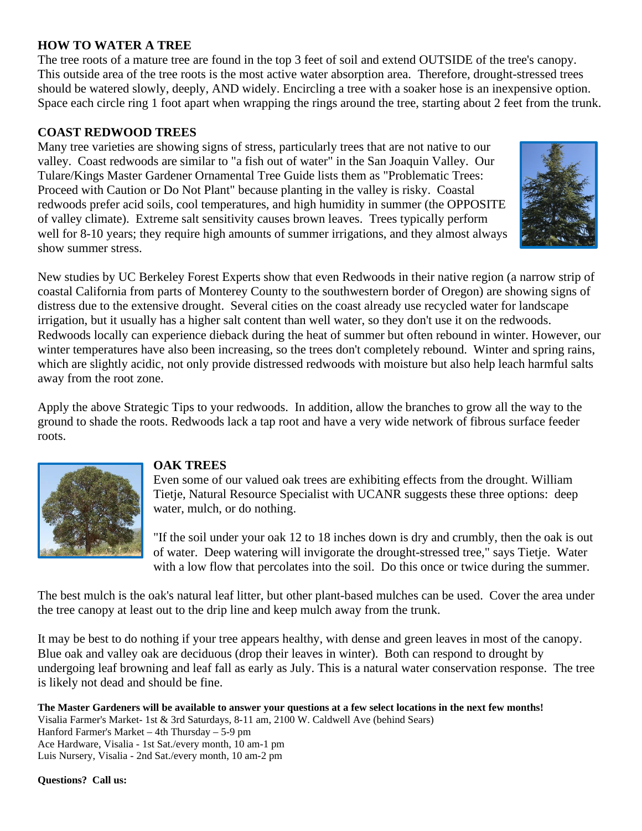## **HOW TO WATER A TREE**

The tree roots of a mature tree are found in the top 3 feet of soil and extend OUTSIDE of the tree's canopy. This outside area of the tree roots is the most active water absorption area. Therefore, drought-stressed trees should be watered slowly, deeply, AND widely. Encircling a tree with a soaker hose is an inexpensive option. Space each circle ring 1 foot apart when wrapping the rings around the tree, starting about 2 feet from the trunk.

## **COAST REDWOOD TREES**

Many tree varieties are showing signs of stress, particularly trees that are not native to our valley. Coast redwoods are similar to "a fish out of water" in the San Joaquin Valley. Our Tulare/Kings Master Gardener Ornamental Tree Guide lists them as "Problematic Trees: Proceed with Caution or Do Not Plant" because planting in the valley is risky. Coastal redwoods prefer acid soils, cool temperatures, and high humidity in summer (the OPPOSITE of valley climate). Extreme salt sensitivity causes brown leaves. Trees typically perform well for 8-10 years; they require high amounts of summer irrigations, and they almost always show summer stress.



New studies by UC Berkeley Forest Experts show that even Redwoods in their native region (a narrow strip of coastal California from parts of Monterey County to the southwestern border of Oregon) are showing signs of distress due to the extensive drought. Several cities on the coast already use recycled water for landscape irrigation, but it usually has a higher salt content than well water, so they don't use it on the redwoods. Redwoods locally can experience dieback during the heat of summer but often rebound in winter. However, our winter temperatures have also been increasing, so the trees don't completely rebound. Winter and spring rains, which are slightly acidic, not only provide distressed redwoods with moisture but also help leach harmful salts away from the root zone.

Apply the above Strategic Tips to your redwoods. In addition, allow the branches to grow all the way to the ground to shade the roots. Redwoods lack a tap root and have a very wide network of fibrous surface feeder roots.



## **OAK TREES**

Even some of our valued oak trees are exhibiting effects from the drought. William Tietje, Natural Resource Specialist with UCANR suggests these three options: deep water, mulch, or do nothing.

"If the soil under your oak 12 to 18 inches down is dry and crumbly, then the oak is out of water. Deep watering will invigorate the drought-stressed tree," says Tietje. Water with a low flow that percolates into the soil. Do this once or twice during the summer.

The best mulch is the oak's natural leaf litter, but other plant-based mulches can be used. Cover the area under the tree canopy at least out to the drip line and keep mulch away from the trunk.

It may be best to do nothing if your tree appears healthy, with dense and green leaves in most of the canopy. Blue oak and valley oak are deciduous (drop their leaves in winter). Both can respond to drought by undergoing leaf browning and leaf fall as early as July. This is a natural water conservation response. The tree is likely not dead and should be fine.

**The Master Gardeners will be available to answer your questions at a few select locations in the next few months!** Visalia Farmer's Market- 1st & 3rd Saturdays, 8-11 am, 2100 W. Caldwell Ave (behind Sears) Hanford Farmer's Market – 4th Thursday – 5-9 pm Ace Hardware, Visalia - 1st Sat./every month, 10 am-1 pm Luis Nursery, Visalia - 2nd Sat./every month, 10 am-2 pm